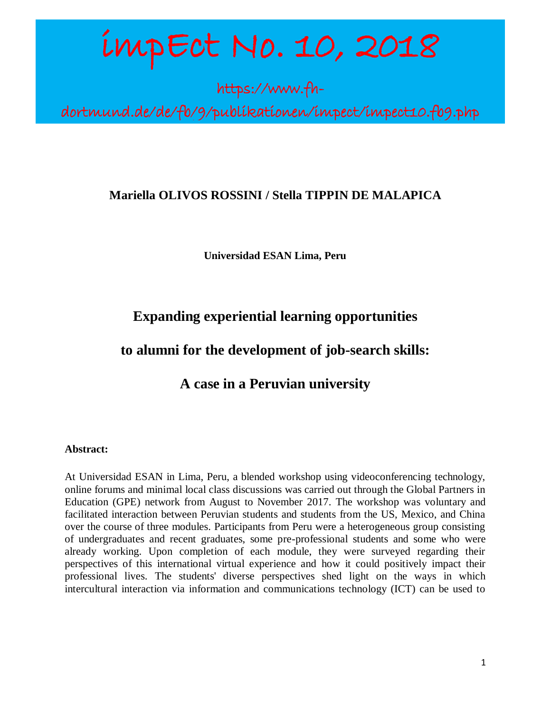# impEct No. 10, 2018

https://www.fh-

an dia kaominina dia 49.<br>Ny faritr'ora dia GMT+1.

dortmund.de/de/fb/9/publikationen/impect/impect10.fb9.php

# **Mariella OLIVOS ROSSINI / Stella TIPPIN DE MALAPICA**

**Universidad ESAN Lima, Peru**

# **Expanding experiential learning opportunities**

# **to alumni for the development of job-search skills:**

**A case in a Peruvian university**

## **Abstract:**

At Universidad ESAN in Lima, Peru, a blended workshop using videoconferencing technology, online forums and minimal local class discussions was carried out through the Global Partners in Education (GPE) network from August to November 2017. The workshop was voluntary and facilitated interaction between Peruvian students and students from the US, Mexico, and China over the course of three modules. Participants from Peru were a heterogeneous group consisting of undergraduates and recent graduates, some pre-professional students and some who were already working. Upon completion of each module, they were surveyed regarding their perspectives of this international virtual experience and how it could positively impact their professional lives. The students' diverse perspectives shed light on the ways in which intercultural interaction via information and communications technology (ICT) can be used to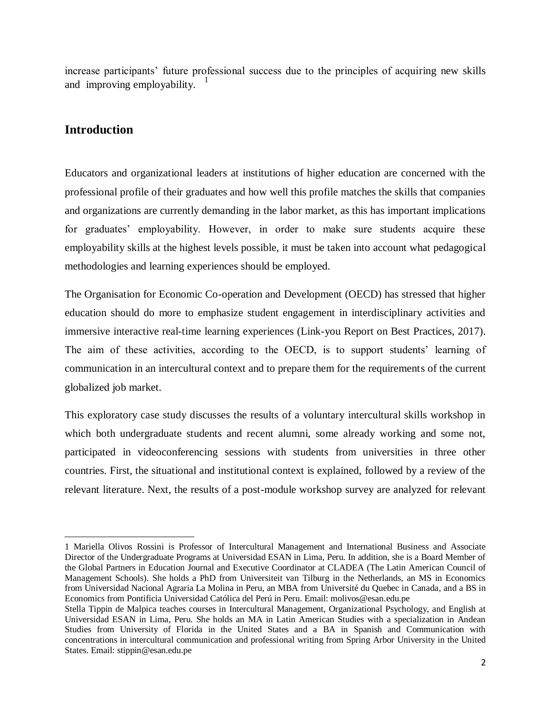increase participants' future professional success due to the principles of acquiring new skills and improving employability. 1

## **Introduction**

Educators and organizational leaders at institutions of higher education are concerned with the professional profile of their graduates and how well this profile matches the skills that companies and organizations are currently demanding in the labor market, as this has important implications for graduates' employability. However, in order to make sure students acquire these employability skills at the highest levels possible, it must be taken into account what pedagogical methodologies and learning experiences should be employed.

The Organisation for Economic Co-operation and Development (OECD) has stressed that higher education should do more to emphasize student engagement in interdisciplinary activities and immersive interactive real-time learning experiences (Link-you Report on Best Practices, 2017). The aim of these activities, according to the OECD, is to support students' learning of communication in an intercultural context and to prepare them for the requirements of the current globalized job market.

This exploratory case study discusses the results of a voluntary intercultural skills workshop in which both undergraduate students and recent alumni, some already working and some not, participated in videoconferencing sessions with students from universities in three other countries. First, the situational and institutional context is explained, followed by a review of the relevant literature. Next, the results of a post-module workshop survey are analyzed for relevant

 $\overline{\phantom{a}}$ 1 Mariella Olivos Rossini is Professor of Intercultural Management and International Business and Associate Director of the Undergraduate Programs at Universidad ESAN in Lima, Peru. In addition, she is a Board Member of the Global Partners in Education Journal and Executive Coordinator at CLADEA (The Latin American Council of Management Schools). She holds a PhD from Universiteit van Tilburg in the Netherlands, an MS in Economics from Universidad Nacional Agraria La Molina in Peru, an MBA from Université du Quebec in Canada, and a BS in Economics from Pontificia Universidad Católica del Perú in Peru. Email: molivos@esan.edu.pe

Stella Tippin de Malpica teaches courses in Intercultural Management, Organizational Psychology, and English at Universidad ESAN in Lima, Peru. She holds an MA in Latin American Studies with a specialization in Andean Studies from University of Florida in the United States and a BA in Spanish and Communication with concentrations in intercultural communication and professional writing from Spring Arbor University in the United States. Email: stippin@esan.edu.pe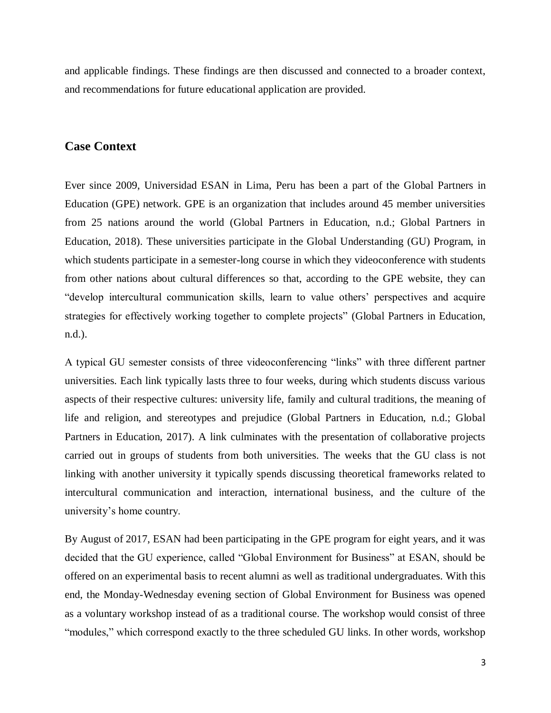and applicable findings. These findings are then discussed and connected to a broader context, and recommendations for future educational application are provided.

#### **Case Context**

Ever since 2009, Universidad ESAN in Lima, Peru has been a part of the Global Partners in Education (GPE) network. GPE is an organization that includes around 45 member universities from 25 nations around the world (Global Partners in Education, n.d.; Global Partners in Education, 2018). These universities participate in the Global Understanding (GU) Program, in which students participate in a semester-long course in which they videoconference with students from other nations about cultural differences so that, according to the GPE website, they can "develop intercultural communication skills, learn to value others' perspectives and acquire strategies for effectively working together to complete projects" (Global Partners in Education, n.d.).

A typical GU semester consists of three videoconferencing "links" with three different partner universities. Each link typically lasts three to four weeks, during which students discuss various aspects of their respective cultures: university life, family and cultural traditions, the meaning of life and religion, and stereotypes and prejudice (Global Partners in Education, n.d.; Global Partners in Education, 2017). A link culminates with the presentation of collaborative projects carried out in groups of students from both universities. The weeks that the GU class is not linking with another university it typically spends discussing theoretical frameworks related to intercultural communication and interaction, international business, and the culture of the university's home country.

By August of 2017, ESAN had been participating in the GPE program for eight years, and it was decided that the GU experience, called "Global Environment for Business" at ESAN, should be offered on an experimental basis to recent alumni as well as traditional undergraduates. With this end, the Monday-Wednesday evening section of Global Environment for Business was opened as a voluntary workshop instead of as a traditional course. The workshop would consist of three "modules," which correspond exactly to the three scheduled GU links. In other words, workshop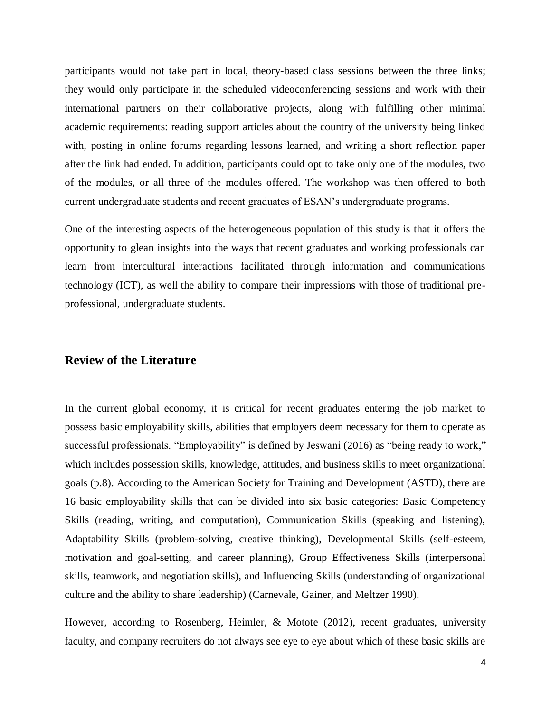participants would not take part in local, theory-based class sessions between the three links; they would only participate in the scheduled videoconferencing sessions and work with their international partners on their collaborative projects, along with fulfilling other minimal academic requirements: reading support articles about the country of the university being linked with, posting in online forums regarding lessons learned, and writing a short reflection paper after the link had ended. In addition, participants could opt to take only one of the modules, two of the modules, or all three of the modules offered. The workshop was then offered to both current undergraduate students and recent graduates of ESAN's undergraduate programs.

One of the interesting aspects of the heterogeneous population of this study is that it offers the opportunity to glean insights into the ways that recent graduates and working professionals can learn from intercultural interactions facilitated through information and communications technology (ICT), as well the ability to compare their impressions with those of traditional preprofessional, undergraduate students.

#### **Review of the Literature**

In the current global economy, it is critical for recent graduates entering the job market to possess basic employability skills, abilities that employers deem necessary for them to operate as successful professionals. "Employability" is defined by Jeswani (2016) as "being ready to work," which includes possession skills, knowledge, attitudes, and business skills to meet organizational goals (p.8). According to the American Society for Training and Development (ASTD), there are 16 basic employability skills that can be divided into six basic categories: Basic Competency Skills (reading, writing, and computation), Communication Skills (speaking and listening), Adaptability Skills (problem-solving, creative thinking), Developmental Skills (self-esteem, motivation and goal-setting, and career planning), Group Effectiveness Skills (interpersonal skills, teamwork, and negotiation skills), and Influencing Skills (understanding of organizational culture and the ability to share leadership) (Carnevale, Gainer, and Meltzer 1990).

However, according to Rosenberg, Heimler, & Motote (2012), recent graduates, university faculty, and company recruiters do not always see eye to eye about which of these basic skills are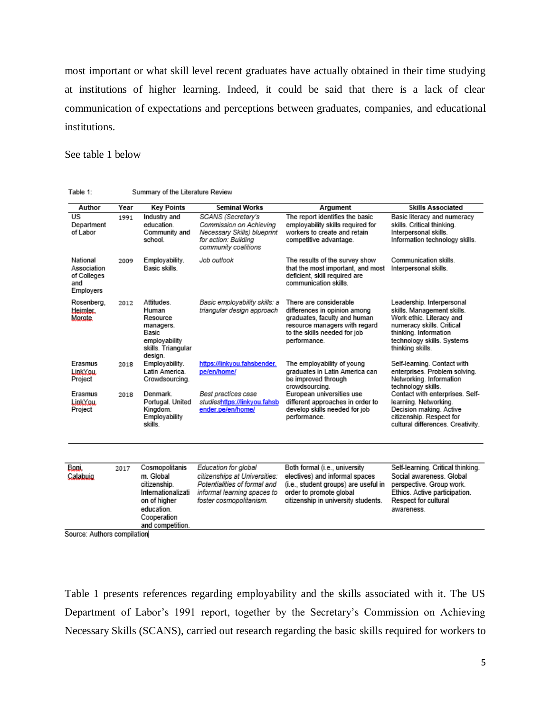most important or what skill level recent graduates have actually obtained in their time studying at institutions of higher learning. Indeed, it could be said that there is a lack of clear communication of expectations and perceptions between graduates, companies, and educational institutions.

See table 1 below

| Table 1: |  | Summary of the Literature Review |  |
|----------|--|----------------------------------|--|
|----------|--|----------------------------------|--|

| Author                                                     | Year | <b>Key Points</b>                                                                                                                  | <b>Seminal Works</b>                                                                                                                            | Argument                                                                                                                                                                  | <b>Skills Associated</b>                                                                                                                                                                    |
|------------------------------------------------------------|------|------------------------------------------------------------------------------------------------------------------------------------|-------------------------------------------------------------------------------------------------------------------------------------------------|---------------------------------------------------------------------------------------------------------------------------------------------------------------------------|---------------------------------------------------------------------------------------------------------------------------------------------------------------------------------------------|
| $\overline{US}$<br>Department<br>of Labor                  | 1991 | Industry and<br>education.<br>Community and<br>school.                                                                             | SCANS (Secretary's<br>Commission on Achieving<br>Necessary Skills) blueprint<br>for action: Building<br>community coalitions                    | The report identifies the basic<br>employability skills required for<br>workers to create and retain<br>competitive advantage.                                            | Basic literacy and numeracy<br>skills. Critical thinking.<br>Interpersonal skills.<br>Information technology skills.                                                                        |
| National<br>Association<br>of Colleges<br>and<br>Employers | 2009 | Employability.<br>Basic skills.                                                                                                    | Job outlook                                                                                                                                     | The results of the survey show<br>that the most important, and most<br>deficient, skill required are<br>communication skills.                                             | Communication skills.<br>Interpersonal skills.                                                                                                                                              |
| Rosenberg.<br>Heimler.<br>Morote                           | 2012 | Attitudes.<br>Human<br>Resource<br>managers.<br>Basic<br>employability<br>skills. Triangular<br>design.                            | Basic employability skills: a<br>triangular design approach                                                                                     | There are considerable<br>differences in opinion among<br>graduates, faculty and human<br>resource managers with regard<br>to the skills needed for job<br>performance.   | Leadership. Interpersonal<br>skills. Management skills.<br>Work ethic. Literacy and<br>numeracy skills. Critical<br>thinking. Information<br>technology skills. Systems<br>thinking skills. |
| Erasmus<br>LinkYou.<br>Project                             | 2018 | Employability.<br>Latin America.<br>Crowdsourcing.                                                                                 | https://linkyou.fahsbender.<br>pe/en/home/                                                                                                      | The employability of young<br>graduates in Latin America can<br>be improved through<br>crowdsourcing.                                                                     | Self-learning. Contact with<br>enterprises. Problem solving.<br>Networking. Information<br>technology skills.                                                                               |
| Erasmus<br>LinkYou.<br>Project                             | 2018 | Denmark.<br>Portugal. United<br>Kingdom.<br>Employability<br>skills.                                                               | Best practices case<br>studieshttps://linkyou.fahsb<br>ender.pe/en/home/                                                                        | European universities use<br>different approaches in order to<br>develop skills needed for job<br>performance.                                                            | Contact with enterprises. Self-<br>learning. Networking.<br>Decision making. Active<br>citizenship. Respect for<br>cultural differences. Creativity.                                        |
|                                                            |      |                                                                                                                                    |                                                                                                                                                 |                                                                                                                                                                           |                                                                                                                                                                                             |
| Boni<br>Calabuig                                           | 2017 | Cosmopolitanis<br>m. Global<br>citizenship.<br>Internationalizati<br>on of higher<br>education.<br>Cooperation<br>and competition. | Education for global<br>citizenships at Universities:<br>Potentialities of formal and<br>informal learning spaces to<br>foster cosmopolitanism. | Both formal (i.e., university<br>electives) and informal spaces<br>(i.e., student groups) are useful in<br>order to promote global<br>citizenship in university students. | Self-learning. Critical thinking.<br>Social awareness, Global<br>perspective. Group work.<br>Ethics. Active participation.<br>Respect for cultural<br>awareness.                            |

Source: Authors compilation

Table 1 presents references regarding employability and the skills associated with it. The US Department of Labor's 1991 report, together by the Secretary's Commission on Achieving Necessary Skills (SCANS), carried out research regarding the basic skills required for workers to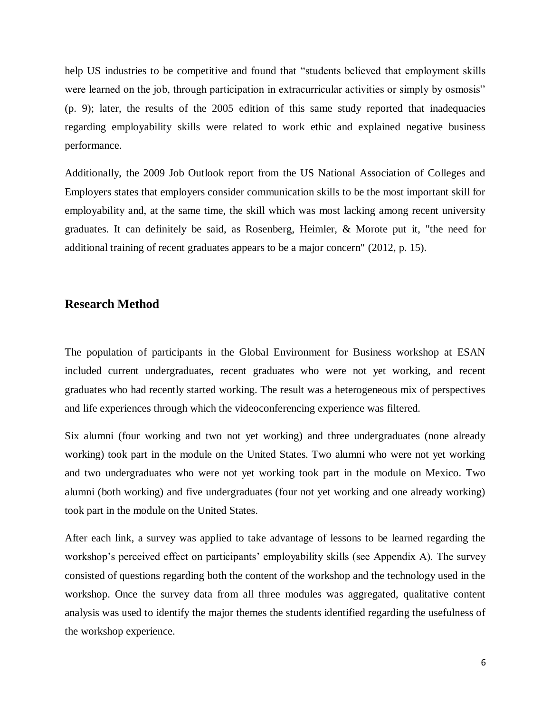help US industries to be competitive and found that "students believed that employment skills were learned on the job, through participation in extracurricular activities or simply by osmosis" (p. 9); later, the results of the 2005 edition of this same study reported that inadequacies regarding employability skills were related to work ethic and explained negative business performance.

Additionally, the 2009 Job Outlook report from the US National Association of Colleges and Employers states that employers consider communication skills to be the most important skill for employability and, at the same time, the skill which was most lacking among recent university graduates. It can definitely be said, as Rosenberg, Heimler, & Morote put it, "the need for additional training of recent graduates appears to be a major concern" (2012, p. 15).

#### **Research Method**

The population of participants in the Global Environment for Business workshop at ESAN included current undergraduates, recent graduates who were not yet working, and recent graduates who had recently started working. The result was a heterogeneous mix of perspectives and life experiences through which the videoconferencing experience was filtered.

Six alumni (four working and two not yet working) and three undergraduates (none already working) took part in the module on the United States. Two alumni who were not yet working and two undergraduates who were not yet working took part in the module on Mexico. Two alumni (both working) and five undergraduates (four not yet working and one already working) took part in the module on the United States.

After each link, a survey was applied to take advantage of lessons to be learned regarding the workshop's perceived effect on participants' employability skills (see Appendix A). The survey consisted of questions regarding both the content of the workshop and the technology used in the workshop. Once the survey data from all three modules was aggregated, qualitative content analysis was used to identify the major themes the students identified regarding the usefulness of the workshop experience.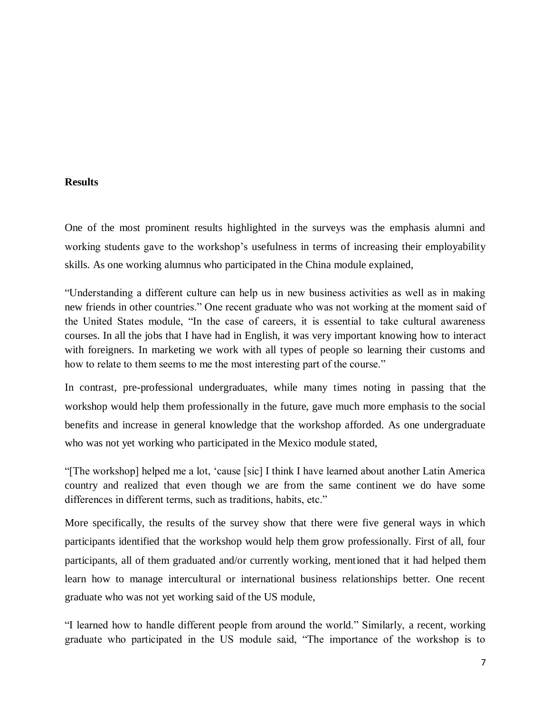#### **Results**

One of the most prominent results highlighted in the surveys was the emphasis alumni and working students gave to the workshop's usefulness in terms of increasing their employability skills. As one working alumnus who participated in the China module explained,

"Understanding a different culture can help us in new business activities as well as in making new friends in other countries." One recent graduate who was not working at the moment said of the United States module, "In the case of careers, it is essential to take cultural awareness courses. In all the jobs that I have had in English, it was very important knowing how to interact with foreigners. In marketing we work with all types of people so learning their customs and how to relate to them seems to me the most interesting part of the course."

In contrast, pre-professional undergraduates, while many times noting in passing that the workshop would help them professionally in the future, gave much more emphasis to the social benefits and increase in general knowledge that the workshop afforded. As one undergraduate who was not yet working who participated in the Mexico module stated,

"[The workshop] helped me a lot, 'cause [sic] I think I have learned about another Latin America country and realized that even though we are from the same continent we do have some differences in different terms, such as traditions, habits, etc."

More specifically, the results of the survey show that there were five general ways in which participants identified that the workshop would help them grow professionally. First of all, four participants, all of them graduated and/or currently working, mentioned that it had helped them learn how to manage intercultural or international business relationships better. One recent graduate who was not yet working said of the US module,

"I learned how to handle different people from around the world." Similarly, a recent, working graduate who participated in the US module said, "The importance of the workshop is to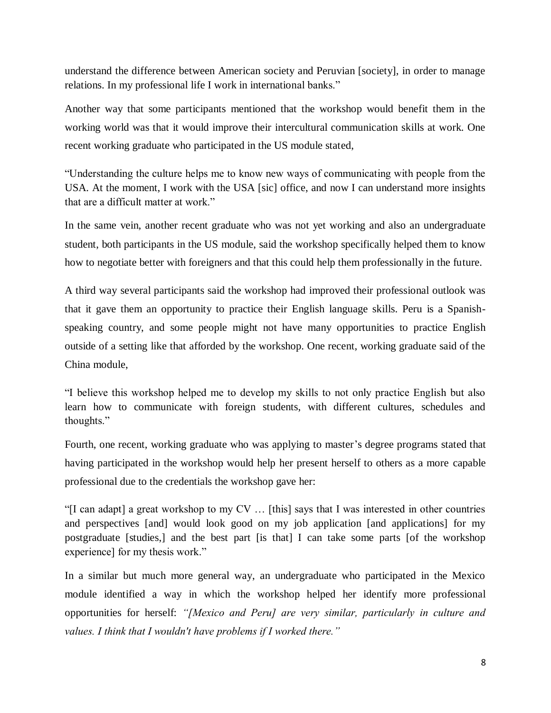understand the difference between American society and Peruvian [society], in order to manage relations. In my professional life I work in international banks."

Another way that some participants mentioned that the workshop would benefit them in the working world was that it would improve their intercultural communication skills at work. One recent working graduate who participated in the US module stated,

"Understanding the culture helps me to know new ways of communicating with people from the USA. At the moment, I work with the USA [sic] office, and now I can understand more insights that are a difficult matter at work."

In the same vein, another recent graduate who was not yet working and also an undergraduate student, both participants in the US module, said the workshop specifically helped them to know how to negotiate better with foreigners and that this could help them professionally in the future.

A third way several participants said the workshop had improved their professional outlook was that it gave them an opportunity to practice their English language skills. Peru is a Spanishspeaking country, and some people might not have many opportunities to practice English outside of a setting like that afforded by the workshop. One recent, working graduate said of the China module,

"I believe this workshop helped me to develop my skills to not only practice English but also learn how to communicate with foreign students, with different cultures, schedules and thoughts."

Fourth, one recent, working graduate who was applying to master's degree programs stated that having participated in the workshop would help her present herself to others as a more capable professional due to the credentials the workshop gave her:

"[I can adapt] a great workshop to my CV … [this] says that I was interested in other countries and perspectives [and] would look good on my job application [and applications] for my postgraduate [studies,] and the best part [is that] I can take some parts [of the workshop experience] for my thesis work."

In a similar but much more general way, an undergraduate who participated in the Mexico module identified a way in which the workshop helped her identify more professional opportunities for herself: *"[Mexico and Peru] are very similar, particularly in culture and values. I think that I wouldn't have problems if I worked there."*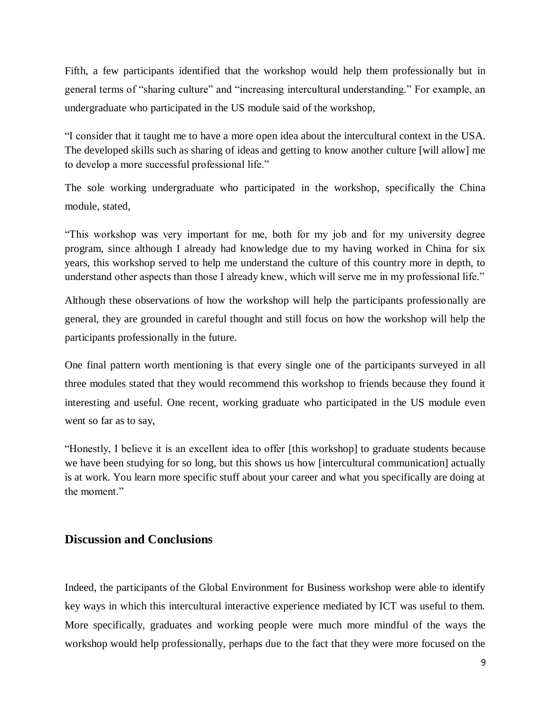Fifth, a few participants identified that the workshop would help them professionally but in general terms of "sharing culture" and "increasing intercultural understanding." For example, an undergraduate who participated in the US module said of the workshop,

"I consider that it taught me to have a more open idea about the intercultural context in the USA. The developed skills such as sharing of ideas and getting to know another culture [will allow] me to develop a more successful professional life."

The sole working undergraduate who participated in the workshop, specifically the China module, stated,

"This workshop was very important for me, both for my job and for my university degree program, since although I already had knowledge due to my having worked in China for six years, this workshop served to help me understand the culture of this country more in depth, to understand other aspects than those I already knew, which will serve me in my professional life."

Although these observations of how the workshop will help the participants professionally are general, they are grounded in careful thought and still focus on how the workshop will help the participants professionally in the future.

One final pattern worth mentioning is that every single one of the participants surveyed in all three modules stated that they would recommend this workshop to friends because they found it interesting and useful. One recent, working graduate who participated in the US module even went so far as to say,

"Honestly, I believe it is an excellent idea to offer [this workshop] to graduate students because we have been studying for so long, but this shows us how [intercultural communication] actually is at work. You learn more specific stuff about your career and what you specifically are doing at the moment."

## **Discussion and Conclusions**

Indeed, the participants of the Global Environment for Business workshop were able to identify key ways in which this intercultural interactive experience mediated by ICT was useful to them. More specifically, graduates and working people were much more mindful of the ways the workshop would help professionally, perhaps due to the fact that they were more focused on the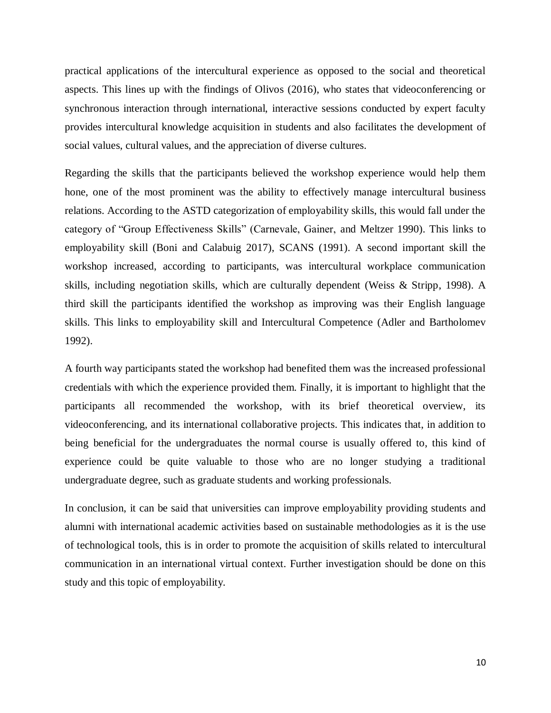practical applications of the intercultural experience as opposed to the social and theoretical aspects. This lines up with the findings of Olivos (2016), who states that videoconferencing or synchronous interaction through international, interactive sessions conducted by expert faculty provides intercultural knowledge acquisition in students and also facilitates the development of social values, cultural values, and the appreciation of diverse cultures.

Regarding the skills that the participants believed the workshop experience would help them hone, one of the most prominent was the ability to effectively manage intercultural business relations. According to the ASTD categorization of employability skills, this would fall under the category of "Group Effectiveness Skills" (Carnevale, Gainer, and Meltzer 1990). This links to employability skill (Boni and Calabuig 2017), SCANS (1991). A second important skill the workshop increased, according to participants, was intercultural workplace communication skills, including negotiation skills, which are culturally dependent (Weiss & Stripp, 1998). A third skill the participants identified the workshop as improving was their English language skills. This links to employability skill and Intercultural Competence (Adler and Bartholomev 1992).

A fourth way participants stated the workshop had benefited them was the increased professional credentials with which the experience provided them. Finally, it is important to highlight that the participants all recommended the workshop, with its brief theoretical overview, its videoconferencing, and its international collaborative projects. This indicates that, in addition to being beneficial for the undergraduates the normal course is usually offered to, this kind of experience could be quite valuable to those who are no longer studying a traditional undergraduate degree, such as graduate students and working professionals.

In conclusion, it can be said that universities can improve employability providing students and alumni with international academic activities based on sustainable methodologies as it is the use of technological tools, this is in order to promote the acquisition of skills related to intercultural communication in an international virtual context. Further investigation should be done on this study and this topic of employability.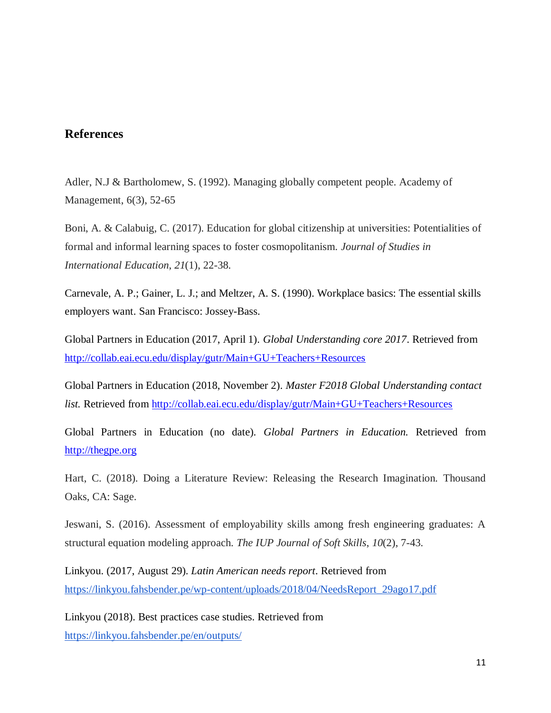## **References**

Adler, N.J & Bartholomew, S. (1992). Managing globally competent people. Academy of Management, 6(3), 52-65

Boni, A. & Calabuig, C. (2017). Education for global citizenship at universities: Potentialities of formal and informal learning spaces to foster cosmopolitanism. *Journal of Studies in International Education*, *21*(1), 22-38.

Carnevale, A. P.; Gainer, L. J.; and Meltzer, A. S. (1990). Workplace basics: The essential skills employers want. San Francisco: Jossey-Bass.

Global Partners in Education (2017, April 1). *Global Understanding core 2017*. Retrieved from <http://collab.eai.ecu.edu/display/gutr/Main+GU+Teachers+Resources>

Global Partners in Education (2018, November 2). *Master F2018 Global Understanding contact list.* Retrieved from<http://collab.eai.ecu.edu/display/gutr/Main+GU+Teachers+Resources>

Global Partners in Education (no date). *Global Partners in Education.* Retrieved from [http://thegpe.org](http://thegpe.org/)

Hart, C. (2018). Doing a Literature Review: Releasing the Research Imagination. Thousand Oaks, CA: Sage.

Jeswani, S. (2016). Assessment of employability skills among fresh engineering graduates: A structural equation modeling approach. *The IUP Journal of Soft Skills*, *10*(2), 7-43.

Linkyou. (2017, August 29). *Latin American needs report*. Retrieved fro[m](https://linkyou.fahsbender.pe/wp-content/uploads/2018/04/NeedsReport_29ago17.pdf) [https://linkyou.fahsbender.pe/wp-content/uploads/2018/04/NeedsReport\\_29ago17.pdf](https://linkyou.fahsbender.pe/wp-content/uploads/2018/04/NeedsReport_29ago17.pdf)

Linkyou (2018). Best practices case studies. Retrieved from <https://linkyou.fahsbender.pe/en/outputs/>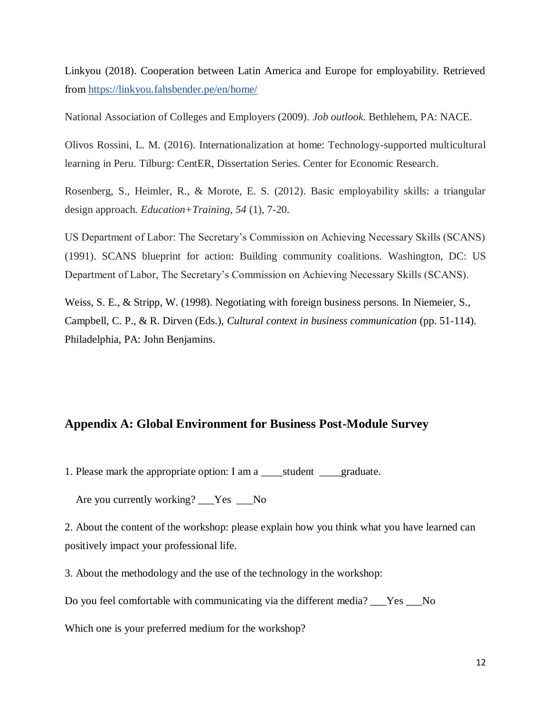Linkyou (2018). Cooperation between Latin America and Europe for employability. Retrieved from<https://linkyou.fahsbender.pe/en/home/>

National Association of Colleges and Employers (2009). *Job outlook.* Bethlehem, PA: NACE.

Olivos Rossini, L. M. (2016). Internationalization at home: Technology-supported multicultural learning in Peru. Tilburg: CentER, Dissertation Series. Center for Economic Research.

Rosenberg, S., Heimler, R., & Morote, E. S. (2012). Basic employability skills: a triangular design approach. *Education+Training*, *54* (1), 7-20.

US Department of Labor: The Secretary's Commission on Achieving Necessary Skills (SCANS) (1991). SCANS blueprint for action: Building community coalitions. Washington, DC: US Department of Labor, The Secretary's Commission on Achieving Necessary Skills (SCANS).

Weiss, S. E., & Stripp, W. (1998). Negotiating with foreign business persons. In Niemeier, S., Campbell, C. P., & R. Dirven (Eds.), *Cultural context in business communication* (pp. 51-114). Philadelphia, PA: John Benjamins.

#### **Appendix A: Global Environment for Business Post-Module Survey**

1. Please mark the appropriate option: I am a \_\_\_\_\_student \_\_\_\_graduate.

Are you currently working? \_\_\_Yes \_\_No

2. About the content of the workshop: please explain how you think what you have learned can positively impact your professional life.

3. About the methodology and the use of the technology in the workshop:

Do you feel comfortable with communicating via the different media? Fes No

Which one is your preferred medium for the workshop?